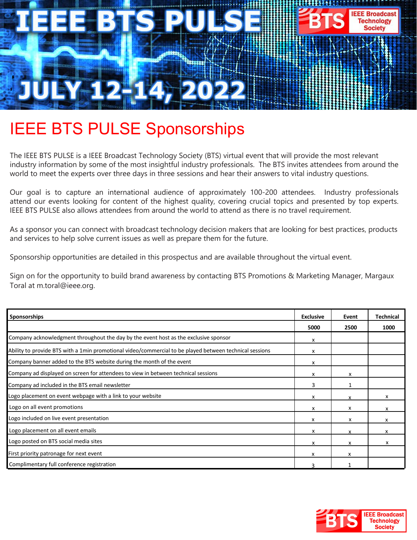

# IEEE BTS PULSE Sponsorships

The IEEE BTS PULSE is a IEEE Broadcast Technology Society (BTS) virtual event that will provide the most relevant industry information by some of the most insightful industry professionals. The BTS invites attendees from around the world to meet the experts over three days in three sessions and hear their answers to vital industry questions.

Our goal is to capture an international audience of approximately 100-200 attendees. Industry professionals attend our events looking for content of the highest quality, covering crucial topics and presented by top experts. IEEE BTS PULSE also allows attendees from around the world to attend as there is no travel requirement.

As a sponsor you can connect with broadcast technology decision makers that are looking for best practices, products and services to help solve current issues as well as prepare them for the future.

Sponsorship opportunities are detailed in this prospectus and are available throughout the virtual event.

Sign on for the opportunity to build brand awareness by contacting BTS Promotions & Marketing Manager, Margaux Toral at m.toral@ieee.org.

| <b>Sponsorships</b>                                                                                     | <b>Exclusive</b> | Event | <b>Technical</b> |
|---------------------------------------------------------------------------------------------------------|------------------|-------|------------------|
|                                                                                                         | 5000             | 2500  | 1000             |
| Company acknowledgment throughout the day by the event host as the exclusive sponsor                    | x                |       |                  |
| Ability to provide BTS with a 1min promotional video/commercial to be played between technical sessions | х                |       |                  |
| Company banner added to the BTS website during the month of the event                                   | x                |       |                  |
| Company ad displayed on screen for attendees to view in between technical sessions                      | x                | x     |                  |
| Company ad included in the BTS email newsletter                                                         | 3                |       |                  |
| Logo placement on event webpage with a link to your website                                             | x                | x     | x                |
| Logo on all event promotions                                                                            | x                | x     | x                |
| Logo included on live event presentation                                                                | x                | x     | x                |
| Logo placement on all event emails                                                                      | x                | x     | x                |
| Logo posted on BTS social media sites                                                                   | x                | x     | x                |
| First priority patronage for next event                                                                 | x                | x     |                  |
| Complimentary full conference registration                                                              |                  |       |                  |